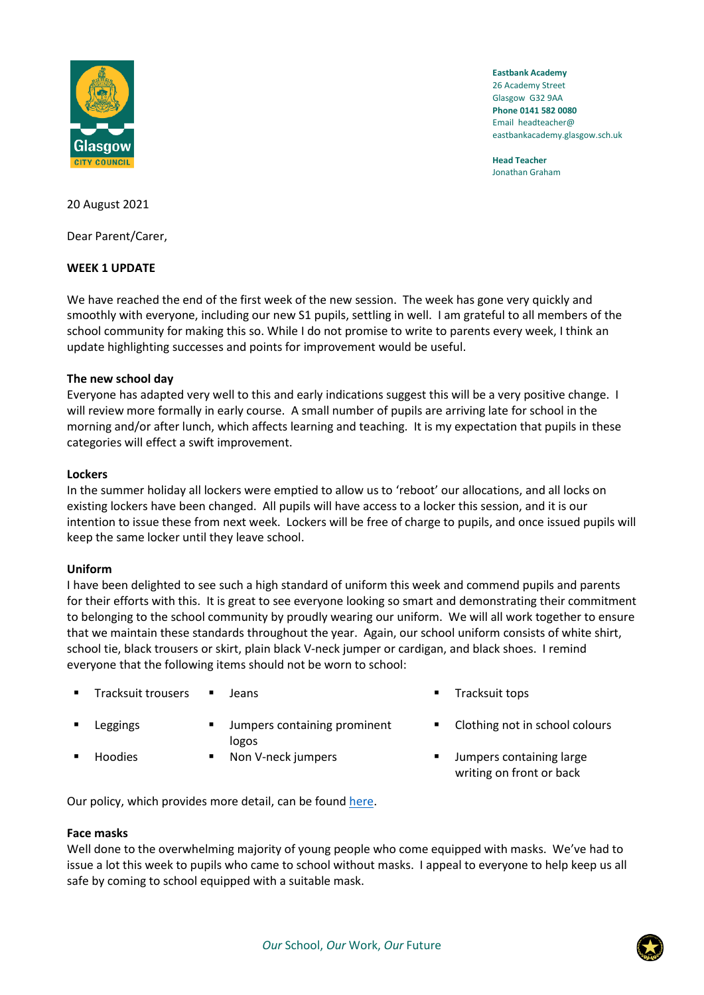

**Eastbank Academy** 26 Academy Street Glasgow G32 9AA **Phone 0141 582 0080** Email headteacher@ eastbankacademy.glasgow.sch.uk

**Head Teacher** Jonathan Graham

20 August 2021

Dear Parent/Carer,

## **WEEK 1 UPDATE**

We have reached the end of the first week of the new session. The week has gone very quickly and smoothly with everyone, including our new S1 pupils, settling in well. I am grateful to all members of the school community for making this so. While I do not promise to write to parents every week, I think an update highlighting successes and points for improvement would be useful.

## **The new school day**

Everyone has adapted very well to this and early indications suggest this will be a very positive change. I will review more formally in early course. A small number of pupils are arriving late for school in the morning and/or after lunch, which affects learning and teaching. It is my expectation that pupils in these categories will effect a swift improvement.

## **Lockers**

In the summer holiday all lockers were emptied to allow us to 'reboot' our allocations, and all locks on existing lockers have been changed. All pupils will have access to a locker this session, and it is our intention to issue these from next week. Lockers will be free of charge to pupils, and once issued pupils will keep the same locker until they leave school.

# **Uniform**

I have been delighted to see such a high standard of uniform this week and commend pupils and parents for their efforts with this. It is great to see everyone looking so smart and demonstrating their commitment to belonging to the school community by proudly wearing our uniform. We will all work together to ensure that we maintain these standards throughout the year. Again, our school uniform consists of white shirt, school tie, black trousers or skirt, plain black V-neck jumper or cardigan, and black shoes. I remind everyone that the following items should not be worn to school:

- Tracksuit trousers Jeans ★ Tracksuit tops
- 
- Leggings  $\blacksquare$  Jumpers containing prominent logos
	- Hoodies Non V-neck jumpers Jumpers containing large
- 
- Clothing not in school colours
- writing on front or back

Our policy, which provides more detail, can be found [here.](https://manage.appscentral.co.uk/uploads/client/documents/4306/105a_Uniform%20leaflet.pdf)

# **Face masks**

Well done to the overwhelming majority of young people who come equipped with masks. We've had to issue a lot this week to pupils who came to school without masks. I appeal to everyone to help keep us all safe by coming to school equipped with a suitable mask.